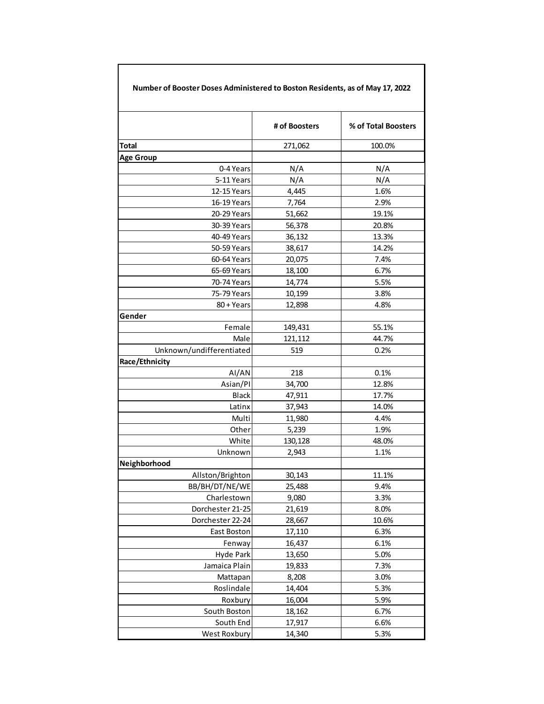| Number of Booster Doses Administered to Boston Residents, as of May 17, 2022 |               |                     |
|------------------------------------------------------------------------------|---------------|---------------------|
|                                                                              | # of Boosters | % of Total Boosters |
| Total                                                                        | 271,062       | 100.0%              |
| <b>Age Group</b>                                                             |               |                     |
| 0-4 Years                                                                    | N/A           | N/A                 |
| 5-11 Years                                                                   | N/A           | N/A                 |
| 12-15 Years                                                                  | 4,445         | 1.6%                |
| 16-19 Years                                                                  | 7,764         | 2.9%                |
| 20-29 Years                                                                  | 51,662        | 19.1%               |
| 30-39 Years                                                                  | 56,378        | 20.8%               |
| 40-49 Years                                                                  | 36,132        | 13.3%               |
| 50-59 Years                                                                  | 38,617        | 14.2%               |
| 60-64 Years                                                                  | 20,075        | 7.4%                |
| 65-69 Years                                                                  | 18,100        | 6.7%                |
| 70-74 Years                                                                  | 14,774        | 5.5%                |
| 75-79 Years                                                                  | 10,199        | 3.8%                |
| 80 + Years                                                                   | 12,898        | 4.8%                |
| Gender                                                                       |               |                     |
| Female                                                                       | 149,431       | 55.1%               |
| Male                                                                         | 121,112       | 44.7%               |
| Unknown/undifferentiated                                                     | 519           | 0.2%                |
| Race/Ethnicity                                                               |               |                     |
| AI/AN                                                                        | 218           | 0.1%                |
| Asian/PI                                                                     | 34,700        | 12.8%               |
| <b>Black</b>                                                                 | 47,911        | 17.7%               |
| Latinx                                                                       | 37,943        | 14.0%               |
| Multi                                                                        | 11,980        | 4.4%                |
| Other                                                                        | 5,239         | 1.9%                |
| White                                                                        | 130,128       | 48.0%               |
| Unknown                                                                      | 2,943         | 1.1%                |
| Neighborhood                                                                 |               |                     |
| Allston/Brighton                                                             | 30,143        | 11.1%               |
| BB/BH/DT/NE/WE                                                               | 25,488        | 9.4%                |
| Charlestown                                                                  | 9,080         | 3.3%                |
| Dorchester 21-25                                                             | 21,619        | 8.0%                |
| Dorchester 22-24                                                             | 28,667        | 10.6%               |
| East Boston                                                                  | 17,110        | 6.3%                |
| Fenway                                                                       | 16,437        | 6.1%                |
| Hyde Park                                                                    | 13,650        | 5.0%                |
| Jamaica Plain                                                                | 19,833        | 7.3%                |
| Mattapan                                                                     | 8,208         | 3.0%                |
| Roslindale                                                                   | 14,404        | 5.3%                |
| Roxbury                                                                      | 16,004        | 5.9%                |
| South Boston                                                                 | 18,162        | 6.7%                |
| South End                                                                    | 17,917        | 6.6%                |
| West Roxbury                                                                 | 14,340        | 5.3%                |

 $\mathsf{l}$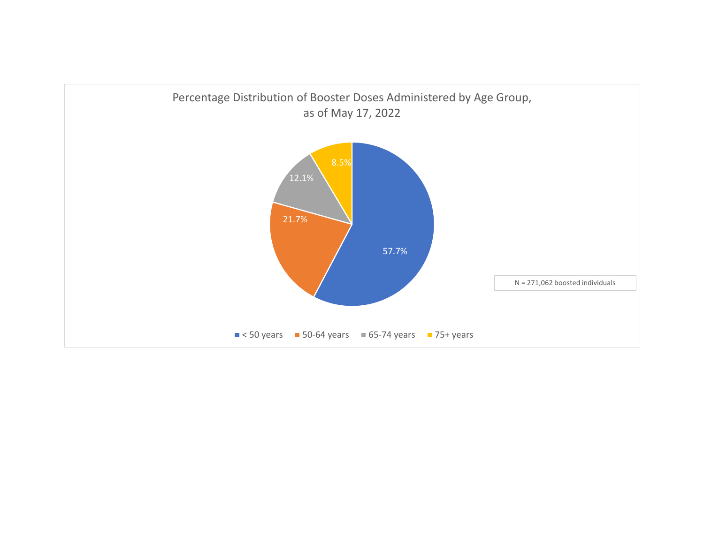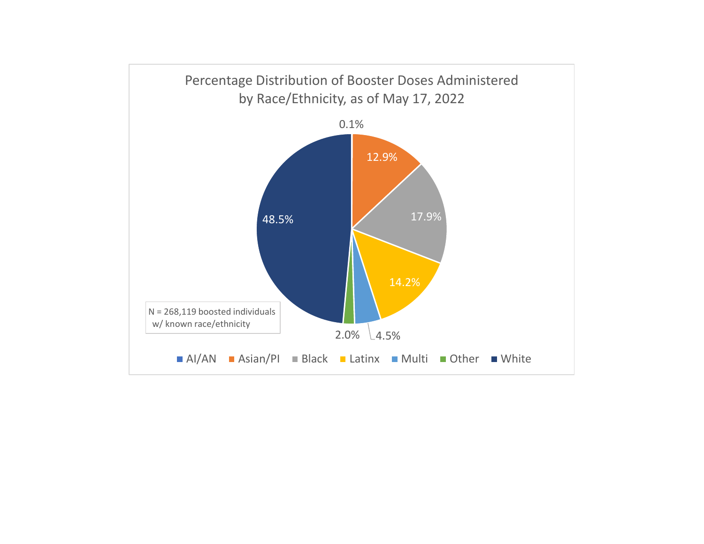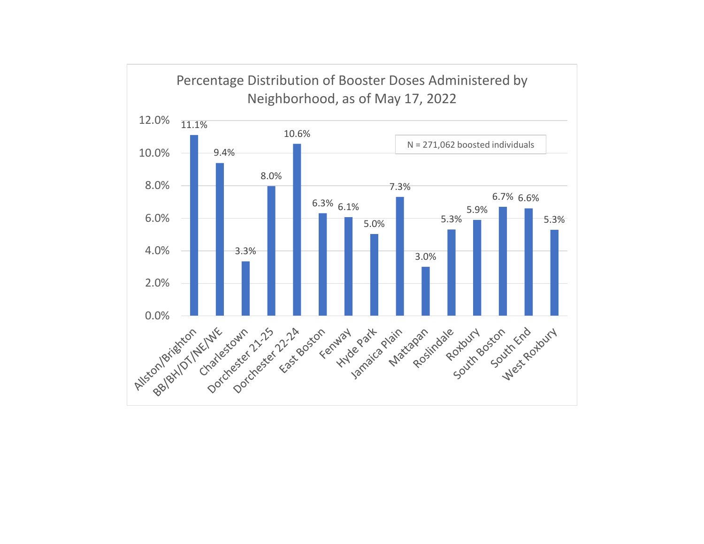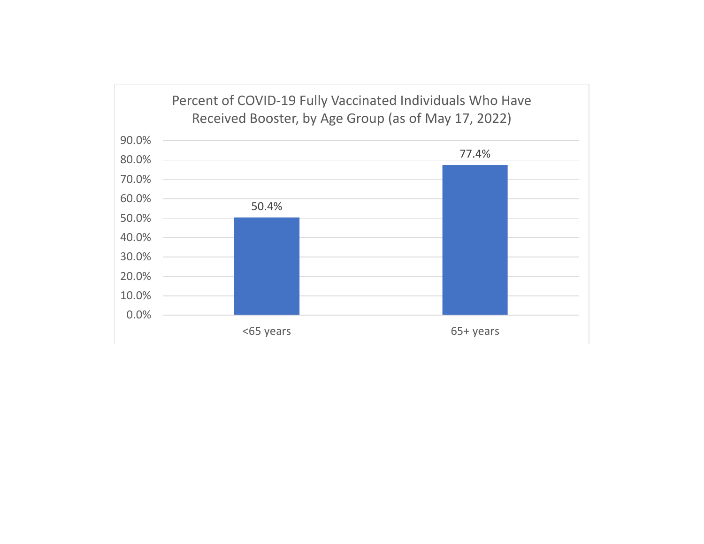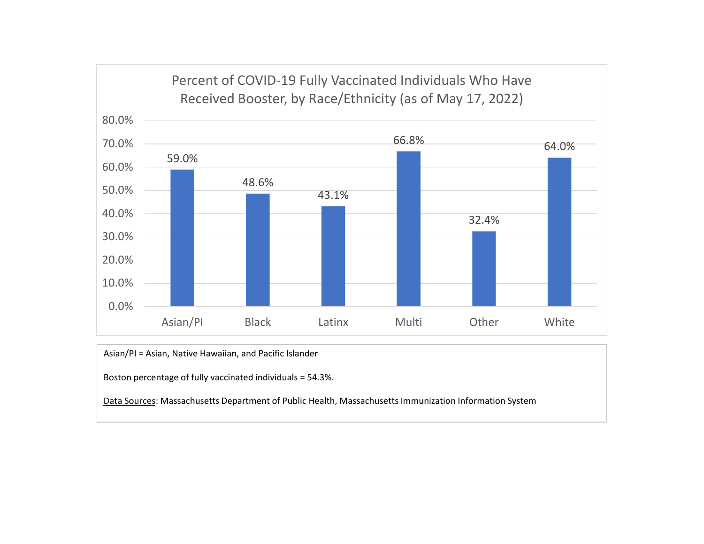

Asian/PI <sup>=</sup> Asian, Native Hawaiian, and Pacific Islander

Boston percentage of fully vaccinated individuals <sup>=</sup> 54.3%.

<u>Data Sources</u>: Massachusetts Department of Public Health, Massachusetts Immunization Information System